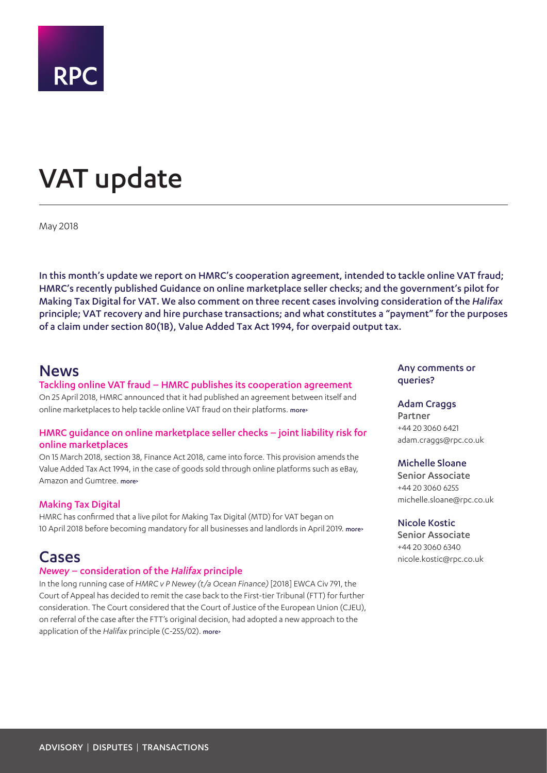

# <span id="page-0-0"></span>VAT update

May 2018

In this month's update we report on HMRC's cooperation agreement, intended to tackle online VAT fraud; HMRC's recently published Guidance on online marketplace seller checks; and the government's pilot for Making Tax Digital for VAT. We also comment on three recent cases involving consideration of the *Halifax* principle; VAT recovery and hire purchase transactions; and what constitutes a "payment" for the purposes of a claim under section 80(1B), Value Added Tax Act 1994, for overpaid output tax.

# **News**

Tackling online VAT fraud – HMRC publishes its cooperation agreement

On 25 April 2018, HMRC announced that it had published an agreement between itself and online marketplaces to help tackle online VAT fraud on their platforms. [more>](#page-2-0)

# HMRC guidance on online marketplace seller checks – joint liability risk for online marketplaces

On 15 March 2018, section 38, Finance Act 2018, came into force. This provision amends the Value Added Tax Act 1994, in the case of goods sold through online platforms such as eBay, Amazon and Gumtree. [more>](#page-2-1)

## Making Tax Digital

HMRC has confirmed that a live pilot for Making Tax Digital (MTD) for VAT began on 10 April 2018 before becoming mandatory for all businesses and landlords in April 2019. [more>](#page-3-0)

# Cases

## *Newey* – consideration of the *Halifax* principle

In the long running case of *HMRC v P Newey (t/a Ocean Finance)* [2018] EWCA Civ 791, the Court of Appeal has decided to remit the case back to the First-tier Tribunal (FTT) for further consideration. The Court considered that the Court of Justice of the European Union (CJEU), on referral of the case after the FTT's original decision, had adopted a new approach to the application of the *Halifax* principle (C-255/02). [more>](#page-4-0)

## Any comments or queries?

#### Adam Craggs

Partner +44 20 3060 6421 adam.craggs@rpc.co.uk

## Michelle Sloane

Senior Associate +44 20 3060 6255 michelle.sloane@rpc.co.uk

## Nicole Kostic

Senior Associate +44 20 3060 6340 nicole.kostic@rpc.co.uk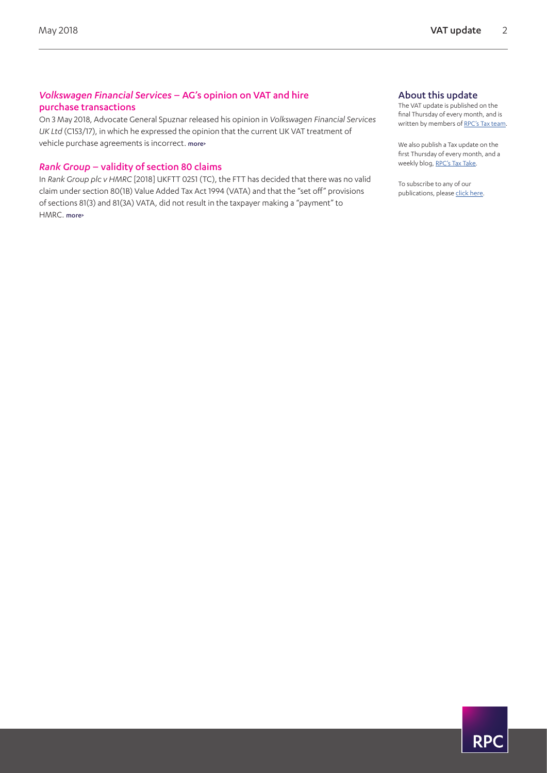# *Volkswagen Financial Services* – AG's opinion on VAT and hire purchase transactions

On 3 May 2018, Advocate General Spuznar released his opinion in *Volkswagen Financial Services UK Ltd* (C153/17), in which he expressed the opinion that the current UK VAT treatment of vehicle purchase agreements is incorrect. [more>](#page-5-0)

# *Rank Group* – validity of section 80 claims

In *Rank Group plc v HMRC* [2018] UKFTT 0251 (TC), the FTT has decided that there was no valid claim under section 80(1B) Value Added Tax Act 1994 (VATA) and that the "set off" provisions of sections 81(3) and 81(3A) VATA, did not result in the taxpayer making a "payment" to HMRC. [more>](#page-7-0)

# About this update

The VAT update is published on the final Thursday of every month, and is written by members of [RPC's Tax team.](https://www.rpc.co.uk/expertise/disputes-litigation-and-investigations/tax-disputes)

We also publish a Tax update on the first Thursday of every month, and a weekly blog, [RPC's Tax Take.](https://www.rpc.co.uk/perspectives/?topic=tax-take)

To subscribe to any of our publications, please [click here.](https://sites-rpc.vuturevx.com/5/8/landing-pages/subscribe-london.asp)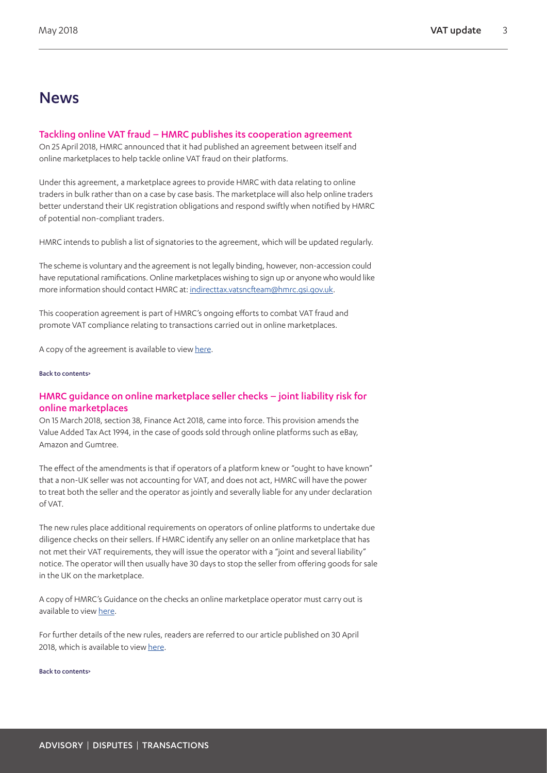# News

#### <span id="page-2-0"></span>Tackling online VAT fraud – HMRC publishes its cooperation agreement

On 25 April 2018, HMRC announced that it had published an agreement between itself and online marketplaces to help tackle online VAT fraud on their platforms.

Under this agreement, a marketplace agrees to provide HMRC with data relating to online traders in bulk rather than on a case by case basis. The marketplace will also help online traders better understand their UK registration obligations and respond swiftly when notified by HMRC of potential non-compliant traders.

HMRC intends to publish a list of signatories to the agreement, which will be updated regularly.

The scheme is voluntary and the agreement is not legally binding, however, non-accession could have reputational ramifications. Online marketplaces wishing to sign up or anyone who would like more information should contact HMRC at: [indirecttax.vatsncfteam@hmrc.gsi.gov.uk.](mailto:indirecttax.vatsncfteam%40hmrc.gsi.gov.uk?subject=)

This cooperation agreement is part of HMRC's ongoing efforts to combat VAT fraud and promote VAT compliance relating to transactions carried out in online marketplaces.

A copy of the agreement is available to view [here.](https://www.gov.uk/government/publications/hmrc-and-online-marketplaces-agreement-to-promote-vat-compliance/tackling-online-vat-fraud-and-error-the-role-of-online-marketplaces-in-co-operating-with-hmrc-the-agreement)

#### [Back to contents>](#page-0-0)

# <span id="page-2-1"></span>HMRC guidance on online marketplace seller checks – joint liability risk for online marketplaces

On 15 March 2018, section 38, Finance Act 2018, came into force. This provision amends the Value Added Tax Act 1994, in the case of goods sold through online platforms such as eBay, Amazon and Gumtree.

The effect of the amendments is that if operators of a platform knew or "ought to have known" that a non-UK seller was not accounting for VAT, and does not act, HMRC will have the power to treat both the seller and the operator as jointly and severally liable for any under declaration of VAT.

The new rules place additional requirements on operators of online platforms to undertake due diligence checks on their sellers. If HMRC identify any seller on an online marketplace that has not met their VAT requirements, they will issue the operator with a "joint and several liability" notice. The operator will then usually have 30 days to stop the seller from offering goods for sale in the UK on the marketplace.

A copy of HMRC's Guidance on the checks an online marketplace operator must carry out is available to view [here.](https://www.gov.uk/guidance/vat-online-marketplace-seller-checks)

For further details of the new rules, readers are referred to our article published on 30 April 2018, which is available to view [here.](https://www.rpc.co.uk/perspectives/retail-therapy/value-added-new-vat-joint-liability-risk-for-online-marketplaces/)

#### [Back to contents>](#page-0-0)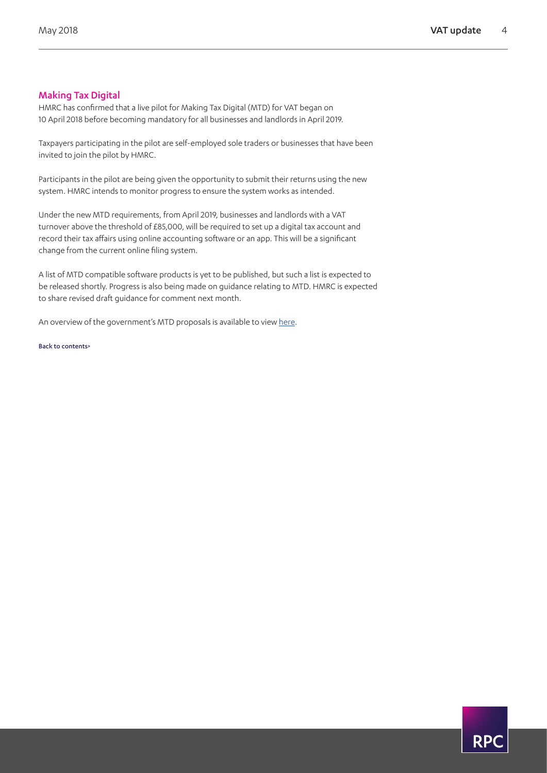# <span id="page-3-0"></span>Making Tax Digital

HMRC has confirmed that a live pilot for Making Tax Digital (MTD) for VAT began on 10 April 2018 before becoming mandatory for all businesses and landlords in April 2019.

Taxpayers participating in the pilot are self-employed sole traders or businesses that have been invited to join the pilot by HMRC.

Participants in the pilot are being given the opportunity to submit their returns using the new system. HMRC intends to monitor progress to ensure the system works as intended.

Under the new MTD requirements, from April 2019, businesses and landlords with a VAT turnover above the threshold of £85,000, will be required to set up a digital tax account and record their tax affairs using online accounting software or an app. This will be a significant change from the current online filing system.

A list of MTD compatible software products is yet to be published, but such a list is expected to be released shortly. Progress is also being made on guidance relating to MTD. HMRC is expected to share revised draft guidance for comment next month.

An overview of the government's MTD proposals is available to view [here](https://www.gov.uk/government/publications/making-tax-digital/overview-of-making-tax-digital).

[Back to contents>](#page-0-0)

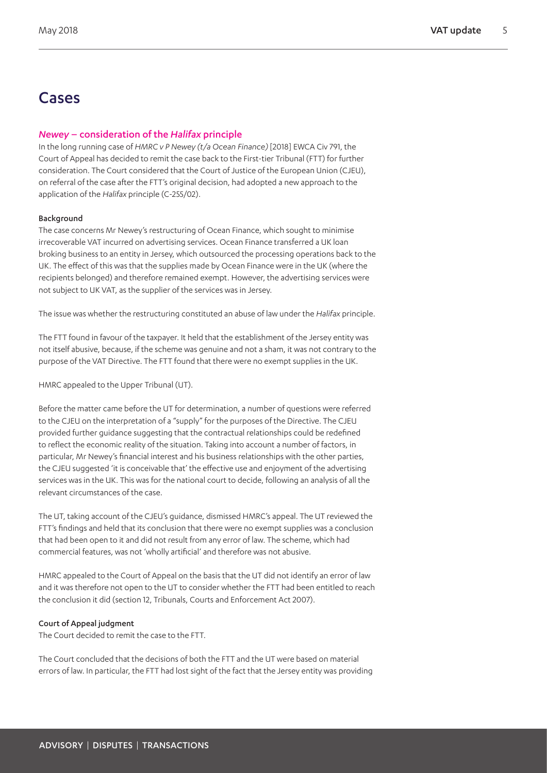# Cases

# <span id="page-4-0"></span>*Newey* – consideration of the *Halifax* principle

In the long running case of *HMRC v P Newey (t/a Ocean Finance)* [2018] EWCA Civ 791, the Court of Appeal has decided to remit the case back to the First-tier Tribunal (FTT) for further consideration. The Court considered that the Court of Justice of the European Union (CJEU), on referral of the case after the FTT's original decision, had adopted a new approach to the application of the *Halifax* principle (C-255/02).

#### Background

The case concerns Mr Newey's restructuring of Ocean Finance, which sought to minimise irrecoverable VAT incurred on advertising services. Ocean Finance transferred a UK loan broking business to an entity in Jersey, which outsourced the processing operations back to the UK. The effect of this was that the supplies made by Ocean Finance were in the UK (where the recipients belonged) and therefore remained exempt. However, the advertising services were not subject to UK VAT, as the supplier of the services was in Jersey.

The issue was whether the restructuring constituted an abuse of law under the *Halifax* principle.

The FTT found in favour of the taxpayer. It held that the establishment of the Jersey entity was not itself abusive, because, if the scheme was genuine and not a sham, it was not contrary to the purpose of the VAT Directive. The FTT found that there were no exempt supplies in the UK.

HMRC appealed to the Upper Tribunal (UT).

Before the matter came before the UT for determination, a number of questions were referred to the CJEU on the interpretation of a "supply" for the purposes of the Directive. The CJEU provided further guidance suggesting that the contractual relationships could be redefined to reflect the economic reality of the situation. Taking into account a number of factors, in particular, Mr Newey's financial interest and his business relationships with the other parties, the CJEU suggested 'it is conceivable that' the effective use and enjoyment of the advertising services was in the UK. This was for the national court to decide, following an analysis of all the relevant circumstances of the case.

The UT, taking account of the CJEU's guidance, dismissed HMRC's appeal. The UT reviewed the FTT's findings and held that its conclusion that there were no exempt supplies was a conclusion that had been open to it and did not result from any error of law. The scheme, which had commercial features, was not 'wholly artificial' and therefore was not abusive.

HMRC appealed to the Court of Appeal on the basis that the UT did not identify an error of law and it was therefore not open to the UT to consider whether the FTT had been entitled to reach the conclusion it did (section 12, Tribunals, Courts and Enforcement Act 2007).

## Court of Appeal judgment

The Court decided to remit the case to the FTT.

The Court concluded that the decisions of both the FTT and the UT were based on material errors of law. In particular, the FTT had lost sight of the fact that the Jersey entity was providing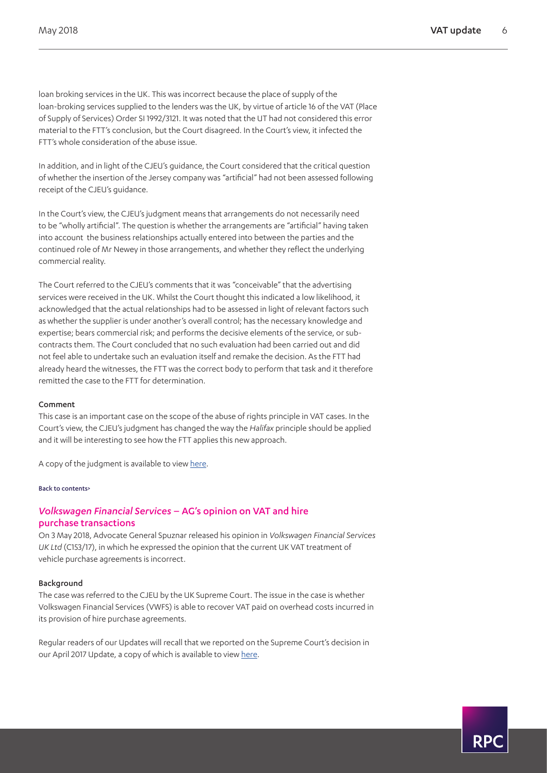loan broking services in the UK. This was incorrect because the place of supply of the loan-broking services supplied to the lenders was the UK, by virtue of article 16 of the VAT (Place of Supply of Services) Order SI 1992/3121. It was noted that the UT had not considered this error material to the FTT's conclusion, but the Court disagreed. In the Court's view, it infected the FTT's whole consideration of the abuse issue.

In addition, and in light of the CJEU's guidance, the Court considered that the critical question of whether the insertion of the Jersey company was "artificial" had not been assessed following receipt of the CJEU's guidance.

In the Court's view, the CJEU's judgment means that arrangements do not necessarily need to be "wholly artificial". The question is whether the arrangements are "artificial" having taken into account the business relationships actually entered into between the parties and the continued role of Mr Newey in those arrangements, and whether they reflect the underlying commercial reality.

The Court referred to the CJEU's comments that it was "conceivable" that the advertising services were received in the UK. Whilst the Court thought this indicated a low likelihood, it acknowledged that the actual relationships had to be assessed in light of relevant factors such as whether the supplier is under another's overall control; has the necessary knowledge and expertise; bears commercial risk; and performs the decisive elements of the service, or subcontracts them. The Court concluded that no such evaluation had been carried out and did not feel able to undertake such an evaluation itself and remake the decision. As the FTT had already heard the witnesses, the FTT was the correct body to perform that task and it therefore remitted the case to the FTT for determination.

#### Comment

This case is an important case on the scope of the abuse of rights principle in VAT cases. In the Court's view, the CJEU's judgment has changed the way the *Halifax* principle should be applied and it will be interesting to see how the FTT applies this new approach.

A copy of the judgment is available to view [here.](http://www.bailii.org/ew/cases/EWCA/Civ/2018/791.html)

#### [Back to contents>](#page-0-0)

## <span id="page-5-0"></span>*Volkswagen Financial Services* – AG's opinion on VAT and hire purchase transactions

On 3 May 2018, Advocate General Spuznar released his opinion in *Volkswagen Financial Services UK Ltd* (C153/17), in which he expressed the opinion that the current UK VAT treatment of vehicle purchase agreements is incorrect.

#### Background

The case was referred to the CJEU by the UK Supreme Court. The issue in the case is whether Volkswagen Financial Services (VWFS) is able to recover VAT paid on overhead costs incurred in its provision of hire purchase agreements.

Regular readers of our Updates will recall that we reported on the Supreme Court's decision in our April 2017 Update, a copy of which is available to view [here](https://www.google.co.uk/url?sa=t&rct=j&q=&esrc=s&source=web&cd=1&cad=rja&uact=8&ved=2ahUKEwjhp-vcz5nbAhUFZKwKHRE-AUMQFjAAegQIARAt&url=https%3A%2F%2Fwww.rpc.co.uk%2F-%2Fmedia%2Frpc%2Ffiles%2Fperspectives%2Ftax-take%2F17164_updt_vat-update-april-2017_email.pdf&usg=AOvVaw1hk2BsCMrfts4-RyM59DYB).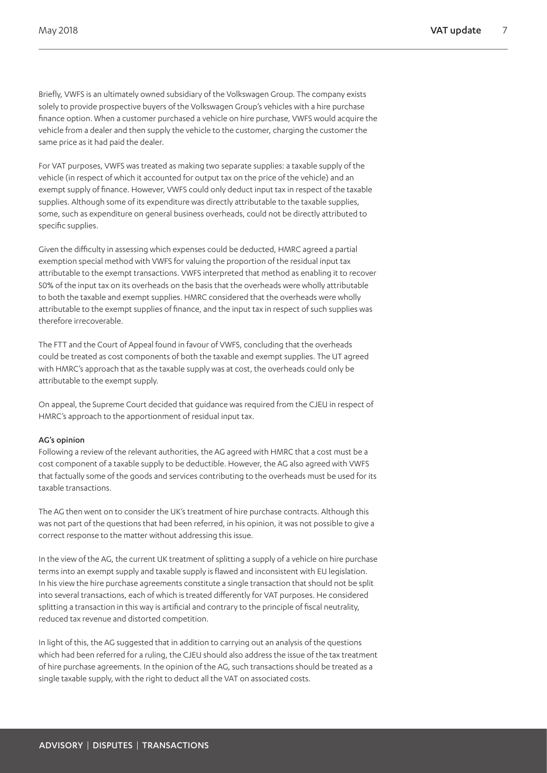Briefly, VWFS is an ultimately owned subsidiary of the Volkswagen Group. The company exists solely to provide prospective buyers of the Volkswagen Group's vehicles with a hire purchase finance option. When a customer purchased a vehicle on hire purchase, VWFS would acquire the vehicle from a dealer and then supply the vehicle to the customer, charging the customer the same price as it had paid the dealer.

For VAT purposes, VWFS was treated as making two separate supplies: a taxable supply of the vehicle (in respect of which it accounted for output tax on the price of the vehicle) and an exempt supply of finance. However, VWFS could only deduct input tax in respect of the taxable supplies. Although some of its expenditure was directly attributable to the taxable supplies, some, such as expenditure on general business overheads, could not be directly attributed to specific supplies.

Given the difficulty in assessing which expenses could be deducted, HMRC agreed a partial exemption special method with VWFS for valuing the proportion of the residual input tax attributable to the exempt transactions. VWFS interpreted that method as enabling it to recover 50% of the input tax on its overheads on the basis that the overheads were wholly attributable to both the taxable and exempt supplies. HMRC considered that the overheads were wholly attributable to the exempt supplies of finance, and the input tax in respect of such supplies was therefore irrecoverable.

The FTT and the Court of Appeal found in favour of VWFS, concluding that the overheads could be treated as cost components of both the taxable and exempt supplies. The UT agreed with HMRC's approach that as the taxable supply was at cost, the overheads could only be attributable to the exempt supply.

On appeal, the Supreme Court decided that guidance was required from the CJEU in respect of HMRC's approach to the apportionment of residual input tax.

#### AG's opinion

Following a review of the relevant authorities, the AG agreed with HMRC that a cost must be a cost component of a taxable supply to be deductible. However, the AG also agreed with VWFS that factually some of the goods and services contributing to the overheads must be used for its taxable transactions.

The AG then went on to consider the UK's treatment of hire purchase contracts. Although this was not part of the questions that had been referred, in his opinion, it was not possible to give a correct response to the matter without addressing this issue.

In the view of the AG, the current UK treatment of splitting a supply of a vehicle on hire purchase terms into an exempt supply and taxable supply is flawed and inconsistent with EU legislation. In his view the hire purchase agreements constitute a single transaction that should not be split into several transactions, each of which is treated differently for VAT purposes. He considered splitting a transaction in this way is artificial and contrary to the principle of fiscal neutrality, reduced tax revenue and distorted competition.

In light of this, the AG suggested that in addition to carrying out an analysis of the questions which had been referred for a ruling, the CJEU should also address the issue of the tax treatment of hire purchase agreements. In the opinion of the AG, such transactions should be treated as a single taxable supply, with the right to deduct all the VAT on associated costs.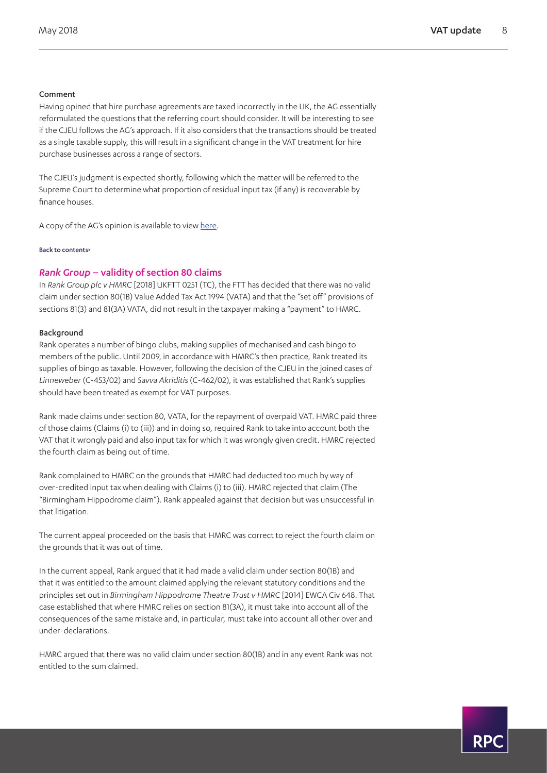#### Comment

Having opined that hire purchase agreements are taxed incorrectly in the UK, the AG essentially reformulated the questions that the referring court should consider. It will be interesting to see if the CJEU follows the AG's approach. If it also considers that the transactions should be treated as a single taxable supply, this will result in a significant change in the VAT treatment for hire purchase businesses across a range of sectors.

The CJEU's judgment is expected shortly, following which the matter will be referred to the Supreme Court to determine what proportion of residual input tax (if any) is recoverable by finance houses.

A copy of the AG's opinion is available to view [here.](http://curia.europa.eu/juris/document/document.jsf?text=&docid=201709&pageIndex=0&doclang=en&mode=lst&dir=&occ=first&part=1&cid=809493)

[Back to contents>](#page-0-0)

#### <span id="page-7-0"></span>*Rank Group* – validity of section 80 claims

In *Rank Group plc v HMRC* [2018] UKFTT 0251 (TC), the FTT has decided that there was no valid claim under section 80(1B) Value Added Tax Act 1994 (VATA) and that the "set off" provisions of sections 81(3) and 81(3A) VATA, did not result in the taxpayer making a "payment" to HMRC.

#### Background

Rank operates a number of bingo clubs, making supplies of mechanised and cash bingo to members of the public. Until 2009, in accordance with HMRC's then practice, Rank treated its supplies of bingo as taxable. However, following the decision of the CJEU in the joined cases of *Linneweber* (C-453/02) and *Savva Akriditis* (C-462/02), it was established that Rank's supplies should have been treated as exempt for VAT purposes.

Rank made claims under section 80, VATA, for the repayment of overpaid VAT. HMRC paid three of those claims (Claims (i) to (iii)) and in doing so, required Rank to take into account both the VAT that it wrongly paid and also input tax for which it was wrongly given credit. HMRC rejected the fourth claim as being out of time.

Rank complained to HMRC on the grounds that HMRC had deducted too much by way of over-credited input tax when dealing with Claims (i) to (iii). HMRC rejected that claim (The "Birmingham Hippodrome claim"). Rank appealed against that decision but was unsuccessful in that litigation.

The current appeal proceeded on the basis that HMRC was correct to reject the fourth claim on the grounds that it was out of time.

In the current appeal, Rank argued that it had made a valid claim under section 80(1B) and that it was entitled to the amount claimed applying the relevant statutory conditions and the principles set out in *Birmingham Hippodrome Theatre Trust v HMRC* [2014] EWCA Civ 648. That case established that where HMRC relies on section 81(3A), it must take into account all of the consequences of the same mistake and, in particular, must take into account all other over and under-declarations.

HMRC argued that there was no valid claim under section 80(1B) and in any event Rank was not entitled to the sum claimed.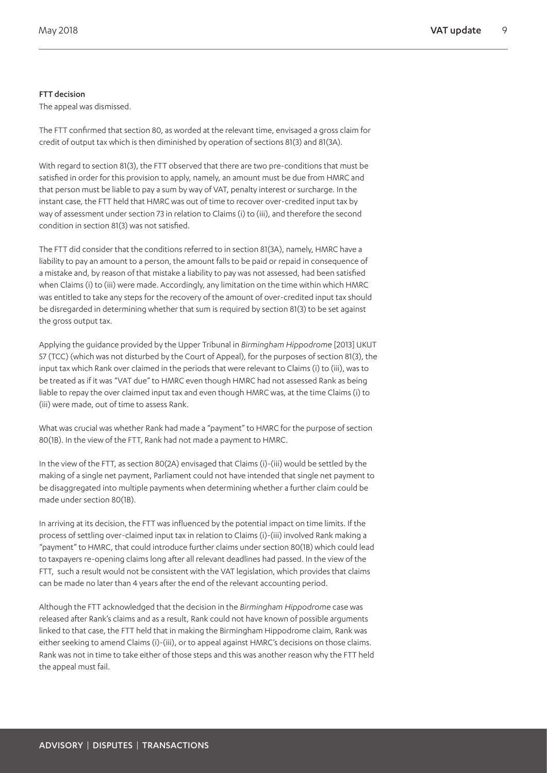#### FTT decision

The appeal was dismissed.

The FTT confirmed that section 80, as worded at the relevant time, envisaged a gross claim for credit of output tax which is then diminished by operation of sections 81(3) and 81(3A).

With regard to section 81(3), the FTT observed that there are two pre-conditions that must be satisfied in order for this provision to apply, namely, an amount must be due from HMRC and that person must be liable to pay a sum by way of VAT, penalty interest or surcharge. In the instant case, the FTT held that HMRC was out of time to recover over-credited input tax by way of assessment under section 73 in relation to Claims (i) to (iii), and therefore the second condition in section 81(3) was not satisfied.

The FTT did consider that the conditions referred to in section 81(3A), namely, HMRC have a liability to pay an amount to a person, the amount falls to be paid or repaid in consequence of a mistake and, by reason of that mistake a liability to pay was not assessed, had been satisfied when Claims (i) to (iii) were made. Accordingly, any limitation on the time within which HMRC was entitled to take any steps for the recovery of the amount of over-credited input tax should be disregarded in determining whether that sum is required by section 81(3) to be set against the gross output tax.

Applying the guidance provided by the Upper Tribunal in *Birmingham Hippodrome* [2013] UKUT 57 (TCC) (which was not disturbed by the Court of Appeal), for the purposes of section 81(3), the input tax which Rank over claimed in the periods that were relevant to Claims (i) to (iii), was to be treated as if it was "VAT due" to HMRC even though HMRC had not assessed Rank as being liable to repay the over claimed input tax and even though HMRC was, at the time Claims (i) to (iii) were made, out of time to assess Rank.

What was crucial was whether Rank had made a "payment" to HMRC for the purpose of section 80(1B). In the view of the FTT, Rank had not made a payment to HMRC.

In the view of the FTT, as section 80(2A) envisaged that Claims (i)-(iii) would be settled by the making of a single net payment, Parliament could not have intended that single net payment to be disaggregated into multiple payments when determining whether a further claim could be made under section 80(1B).

In arriving at its decision, the FTT was influenced by the potential impact on time limits. If the process of settling over-claimed input tax in relation to Claims (i)-(iii) involved Rank making a "payment" to HMRC, that could introduce further claims under section 80(1B) which could lead to taxpayers re-opening claims long after all relevant deadlines had passed. In the view of the FTT, such a result would not be consistent with the VAT legislation, which provides that claims can be made no later than 4 years after the end of the relevant accounting period.

Although the FTT acknowledged that the decision in the *Birmingham Hippodrome* case was released after Rank's claims and as a result, Rank could not have known of possible arguments linked to that case, the FTT held that in making the Birmingham Hippodrome claim, Rank was either seeking to amend Claims (i)-(iii), or to appeal against HMRC's decisions on those claims. Rank was not in time to take either of those steps and this was another reason why the FTT held the appeal must fail.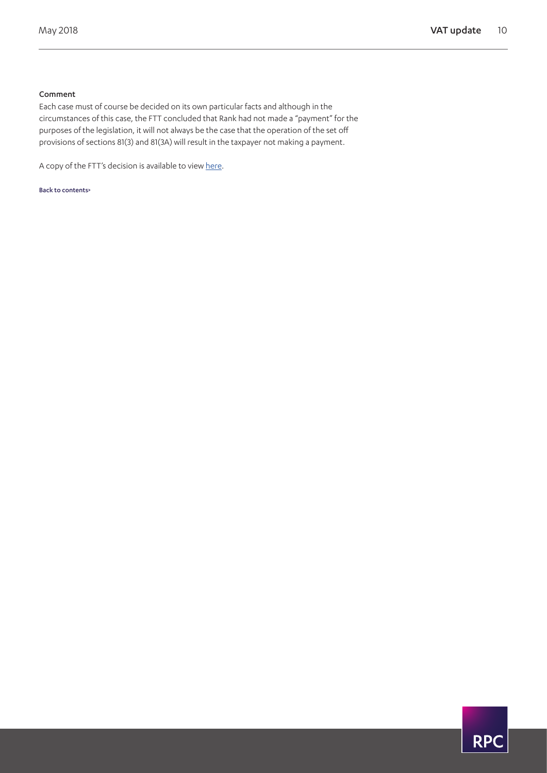#### Comment

Each case must of course be decided on its own particular facts and although in the circumstances of this case, the FTT concluded that Rank had not made a "payment" for the purposes of the legislation, it will not always be the case that the operation of the set off provisions of sections 81(3) and 81(3A) will result in the taxpayer not making a payment.

A copy of the FTT's decision is available to view [here](http://www.bailii.org/uk/cases/UKFTT/TC/2018/TC06483.html).

#### [Back to contents>](#page-0-0)